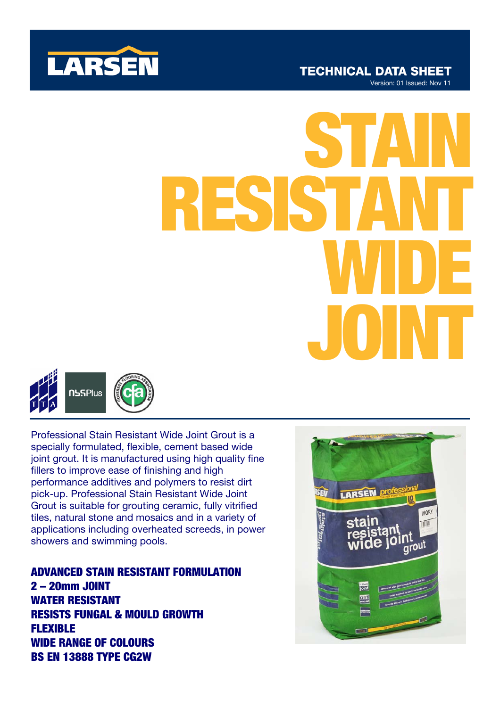

# JOINT STAIN RESISTANT WIDE



Professional Stain Resistant Wide Joint Grout is a specially formulated, flexible, cement based wide joint grout. It is manufactured using high quality fine fillers to improve ease of finishing and high performance additives and polymers to resist dirt pick-up. Professional Stain Resistant Wide Joint Grout is suitable for grouting ceramic, fully vitrified tiles, natural stone and mosaics and in a variety of applications including overheated screeds, in power showers and swimming pools.

ADVANCED STAIN RESISTANT FORMULATION 2 – 20mm JOINT WATER RESISTANT RESISTS FUNGAL & MOULD GROWTH FLEXIBLE WIDE RANGE OF COLOURS BS EN 13888 TYPE CG2W

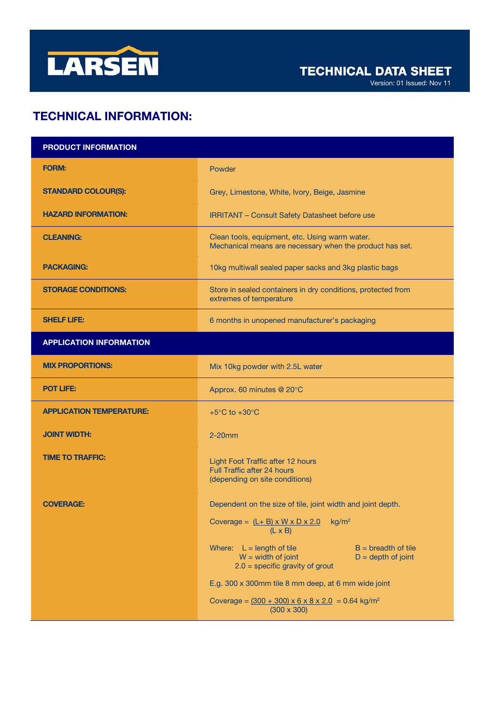

Version: 01 Issued: Nov 11

# TECHNICAL INFORMATION:

| <b>PRODUCT INFORMATION</b>      |                                                                                                                                                                                                                                                                                                          |
|---------------------------------|----------------------------------------------------------------------------------------------------------------------------------------------------------------------------------------------------------------------------------------------------------------------------------------------------------|
| <b>FORM:</b>                    | Powder                                                                                                                                                                                                                                                                                                   |
| <b>STANDARD COLOUR(S):</b>      | Grey, Limestone, White, Ivory, Beige, Jasmine                                                                                                                                                                                                                                                            |
| <b>HAZARD INFORMATION:</b>      | <b>IRRITANT - Consult Safety Datasheet before use</b>                                                                                                                                                                                                                                                    |
| <b>CLEANING:</b>                | Clean tools, equipment, etc. Using warm water.<br>Mechanical means are necessary when the product has set.                                                                                                                                                                                               |
| <b>PACKAGING:</b>               | 10kg multiwall sealed paper sacks and 3kg plastic bags                                                                                                                                                                                                                                                   |
| <b>STORAGE CONDITIONS:</b>      | Store in sealed containers in dry conditions, protected from<br>extremes of temperature                                                                                                                                                                                                                  |
| <b>SHELF LIFE:</b>              | 6 months in unopened manufacturer's packaging                                                                                                                                                                                                                                                            |
| <b>APPLICATION INFORMATION</b>  |                                                                                                                                                                                                                                                                                                          |
| <b>MIX PROPORTIONS:</b>         | Mix 10kg powder with 2.5L water                                                                                                                                                                                                                                                                          |
| <b>POT LIFE:</b>                | Approx. 60 minutes @ 20°C                                                                                                                                                                                                                                                                                |
| <b>APPLICATION TEMPERATURE:</b> | $+5^{\circ}$ C to $+30^{\circ}$ C                                                                                                                                                                                                                                                                        |
| <b>JOINT WIDTH:</b>             | $2-20$ mm                                                                                                                                                                                                                                                                                                |
| <b>TIME TO TRAFFIC:</b>         | Light Foot Traffic after 12 hours<br><b>Full Traffic after 24 hours</b><br>(depending on site conditions)                                                                                                                                                                                                |
| <b>COVERAGE:</b>                | Dependent on the size of tile, joint width and joint depth.<br>Coverage = $(L + B) \times W \times D \times 2.0$<br>kg/m <sup>2</sup><br>$(L \times B)$                                                                                                                                                  |
|                                 | Where: $L = length of tile$<br>$B =$ breadth of tile<br>$W = width of joint$<br>$D = depth of joint$<br>$2.0$ = specific gravity of grout<br>E.g. 300 x 300mm tile 8 mm deep, at 6 mm wide joint<br>Coverage = $(300 + 300) \times 6 \times 8 \times 2.0 = 0.64$ kg/m <sup>2</sup><br>$(300 \times 300)$ |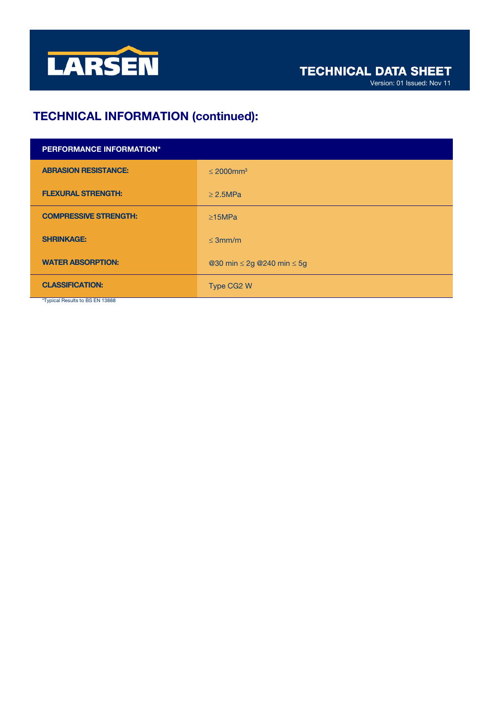

# TECHNICAL INFORMATION (continued):

| <b>PERFORMANCE INFORMATION*</b> |                                      |
|---------------------------------|--------------------------------------|
| <b>ABRASION RESISTANCE:</b>     | $\leq 2000$ mm <sup>3</sup>          |
| <b>FLEXURAL STRENGTH:</b>       | $\geq$ 2.5MPa                        |
| <b>COMPRESSIVE STRENGTH:</b>    | $\geq$ 15MPa                         |
| <b>SHRINKAGE:</b>               | $\leq$ 3mm/m                         |
| <b>WATER ABSORPTION:</b>        | @30 min $\leq$ 2g @240 min $\leq$ 5g |
| <b>CLASSIFICATION:</b>          | Type CG2 W                           |
| *Typical Results to BS EN 13888 |                                      |